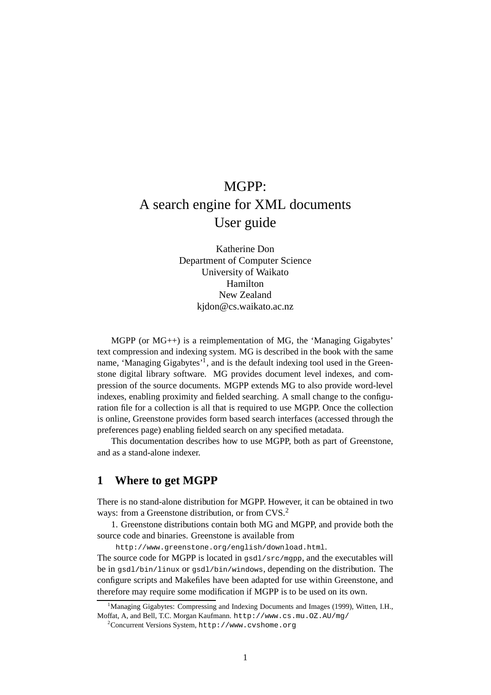# MGPP: A search engine for XML documents User guide

Katherine Don Department of Computer Science University of Waikato Hamilton New Zealand kjdon@cs.waikato.ac.nz

 $MGPP$  (or  $MG_{++}$ ) is a reimplementation of MG, the 'Managing Gigabytes' text compression and indexing system. MG is described in the book with the same name, 'Managing Gigabytes'<sup>1</sup>, and is the default indexing tool used in the Greenstone digital library software. MG provides document level indexes, and compression of the source documents. MGPP extends MG to also provide word-level indexes, enabling proximity and fielded searching. A small change to the configuration file for a collection is all that is required to use MGPP. Once the collection is online, Greenstone provides form based search interfaces (accessed through the preferences page) enabling fielded search on any specified metadata.

This documentation describes how to use MGPP, both as part of Greenstone, and as a stand-alone indexer.

## **1 Where to get MGPP**

There is no stand-alone distribution for MGPP. However, it can be obtained in two ways: from a Greenstone distribution, or from CVS.<sup>2</sup>

1. Greenstone distributions contain both MG and MGPP, and provide both the source code and binaries. Greenstone is available from

http://www.greenstone.org/english/download.html. The source code for MGPP is located in  $qsd1/src/mqp$ , and the executables will be in gsdl/bin/linux or gsdl/bin/windows, depending on the distribution. The configure scripts and Makefiles have been adapted for use within Greenstone, and therefore may require some modification if MGPP is to be used on its own.

<sup>1</sup>Managing Gigabytes: Compressing and Indexing Documents and Images (1999), Witten, I.H., Moffat, A, and Bell, T.C. Morgan Kaufmann. http://www.cs.mu.OZ.AU/mg/

 $^{2}$ Concurrent Versions System, http://www.cvshome.org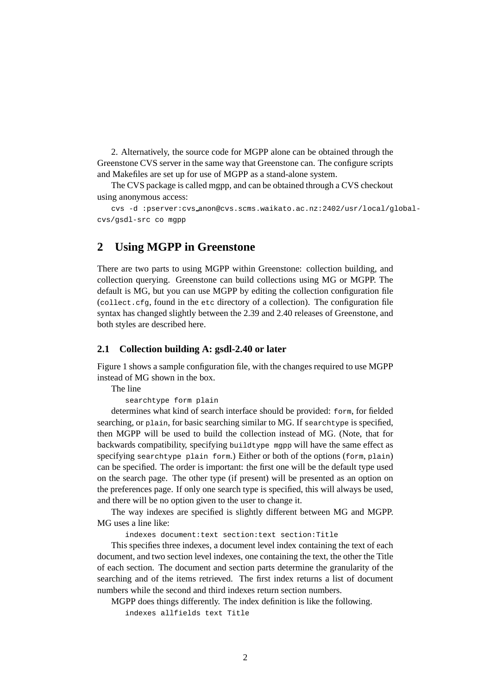2. Alternatively, the source code for MGPP alone can be obtained through the Greenstone CVS server in the same way that Greenstone can. The configure scripts and Makefiles are set up for use of MGPP as a stand-alone system.

The CVS package is called mgpp, and can be obtained through a CVS checkout using anonymous access:

cvs -d :pserver:cvs anon@cvs.scms.waikato.ac.nz:2402/usr/local/globalcvs/gsdl-src co mgpp

### **2 Using MGPP in Greenstone**

There are two parts to using MGPP within Greenstone: collection building, and collection querying. Greenstone can build collections using MG or MGPP. The default is MG, but you can use MGPP by editing the collection configuration file (collect.cfg, found in the etc directory of a collection). The configuration file syntax has changed slightly between the 2.39 and 2.40 releases of Greenstone, and both styles are described here.

#### **2.1 Collection building A: gsdl-2.40 or later**

Figure 1 shows a sample configuration file, with the changes required to use MGPP instead of MG shown in the box.

The line

searchtype form plain

determines what kind of search interface should be provided: form, for fielded searching, or plain, for basic searching similar to MG. If searchtype is specified, then MGPP will be used to build the collection instead of MG. (Note, that for backwards compatibility, specifying buildtype mgpp will have the same effect as specifying searchtype plain form.) Either or both of the options (form, plain) can be specified. The order is important: the first one will be the default type used on the search page. The other type (if present) will be presented as an option on the preferences page. If only one search type is specified, this will always be used, and there will be no option given to the user to change it.

The way indexes are specified is slightly different between MG and MGPP. MG uses a line like:

indexes document:text section:text section:Title

This specifies three indexes, a document level index containing the text of each document, and two section level indexes, one containing the text, the other the Title of each section. The document and section parts determine the granularity of the searching and of the items retrieved. The first index returns a list of document numbers while the second and third indexes return section numbers.

MGPP does things differently. The index definition is like the following.

indexes allfields text Title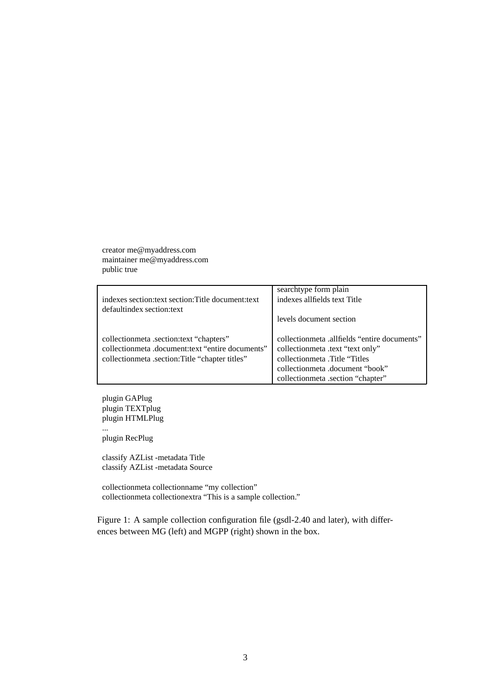creator me@myaddress.com maintainer me@myaddress.com public true

| indexes section: text section: Title document: text                                                                                            | searchtype form plain<br>indexes allfields text Title                                                                                                                                      |
|------------------------------------------------------------------------------------------------------------------------------------------------|--------------------------------------------------------------------------------------------------------------------------------------------------------------------------------------------|
| defaultindex section: text                                                                                                                     | levels document section                                                                                                                                                                    |
| collectionmeta .section:text "chapters"<br>collectionmeta .document:text "entire documents"<br>collection meta.section: Title "chapter titles" | collectionmeta .allfields "entire documents"<br>collectionmeta .text "text only"<br>collectionmeta .Title "Titles"<br>collectionmeta .document "book"<br>collectionmeta .section "chapter" |

plugin GAPlug plugin TEXTplug plugin HTMLPlug ...

plugin RecPlug

classify AZList -metadata Title classify AZList -metadata Source

collectionmeta collectionname "my collection" collectionmeta collectionextra "This is a sample collection."

Figure 1: A sample collection configuration file (gsdl-2.40 and later), with differences between MG (left) and MGPP (right) shown in the box.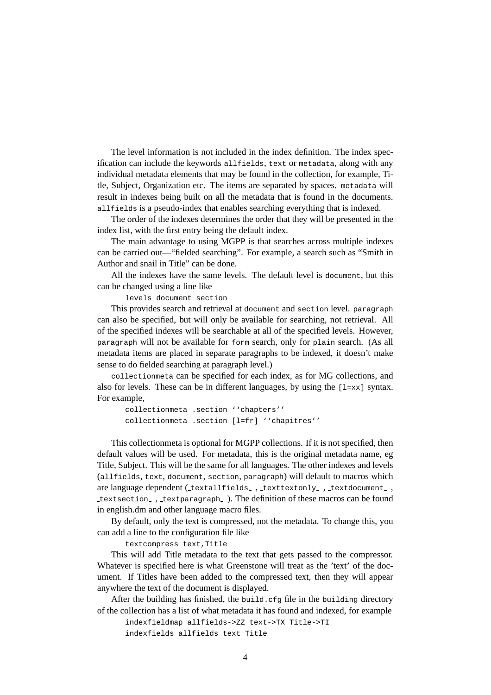The level information is not included in the index definition. The index specification can include the keywords allfields, text or metadata, along with any individual metadata elements that may be found in the collection, for example, Title, Subject, Organization etc. The items are separated by spaces. metadata will result in indexes being built on all the metadata that is found in the documents. allfields is a pseudo-index that enables searching everything that is indexed.

The order of the indexes determines the order that they will be presented in the index list, with the first entry being the default index.

The main advantage to using MGPP is that searches across multiple indexes can be carried out—"fielded searching". For example, a search such as "Smith in Author and snail in Title" can be done.

All the indexes have the same levels. The default level is document, but this can be changed using a line like

levels document section

This provides search and retrieval at document and section level. paragraph can also be specified, but will only be available for searching, not retrieval. All of the specified indexes will be searchable at all of the specified levels. However, paragraph will not be available for form search, only for plain search. (As all metadata items are placed in separate paragraphs to be indexed, it doesn't make sense to do fielded searching at paragraph level.)

collectionmeta can be specified for each index, as for MG collections, and also for levels. These can be in different languages, by using the  $[1=x\times]$  syntax. For example,

collectionmeta .section ''chapters'' collectionmeta .section [l=fr] ''chapitres''

This collectionmeta is optional for MGPP collections. If it is not specified, then default values will be used. For metadata, this is the original metadata name, eg Title, Subject. This will be the same for all languages. The other indexes and levels (allfields, text, document, section, paragraph) will default to macros which are language dependent (textallfields , texttextonly , textdocument , textsection , textparagraph ). The definition of these macros can be found in english.dm and other language macro files.

By default, only the text is compressed, not the metadata. To change this, you can add a line to the configuration file like

textcompress text,Title

This will add Title metadata to the text that gets passed to the compressor. Whatever is specified here is what Greenstone will treat as the 'text' of the document. If Titles have been added to the compressed text, then they will appear anywhere the text of the document is displayed.

After the building has finished, the build.cfg file in the building directory of the collection has a list of what metadata it has found and indexed, for example

indexfieldmap allfields->ZZ text->TX Title->TI indexfields allfields text Title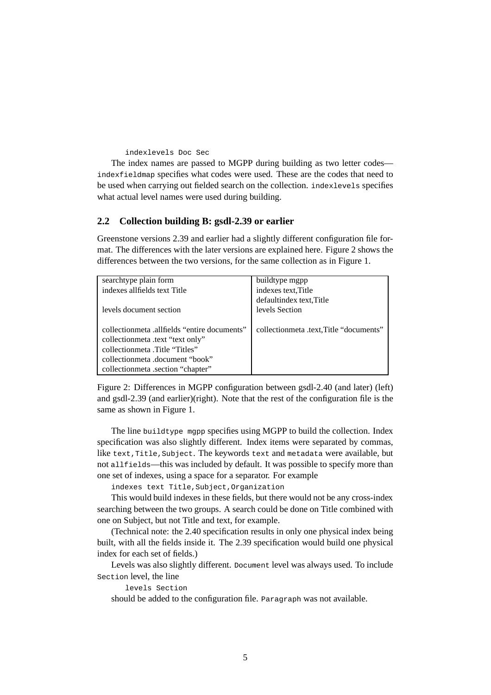#### indexlevels Doc Sec

The index names are passed to MGPP during building as two letter codes indexfieldmap specifies what codes were used. These are the codes that need to be used when carrying out fielded search on the collection. indexlevels specifies what actual level names were used during building.

#### **2.2 Collection building B: gsdl-2.39 or earlier**

Greenstone versions 2.39 and earlier had a slightly different configuration file format. The differences with the later versions are explained here. Figure 2 shows the differences between the two versions, for the same collection as in Figure 1.

| searchtype plain form                       | buildtype mgpp                          |
|---------------------------------------------|-----------------------------------------|
| indexes allfields text Title                | indexes text, Title                     |
|                                             | defaultindex text, Title                |
| levels document section                     | levels Section                          |
|                                             |                                         |
| collectionmeta allfields "entire documents" | collectionmeta .text, Title "documents" |
| collectionmeta .text "text only"            |                                         |
| collectionmeta Title "Titles"               |                                         |
| collectionmeta .document "book"             |                                         |
| collection meta .section "chapter"          |                                         |

Figure 2: Differences in MGPP configuration between gsdl-2.40 (and later) (left) and gsdl-2.39 (and earlier)(right). Note that the rest of the configuration file is the same as shown in Figure 1.

The line buildtype mgpp specifies using MGPP to build the collection. Index specification was also slightly different. Index items were separated by commas, like text, Title, Subject. The keywords text and metadata were available, but not allfields—this was included by default. It was possible to specify more than one set of indexes, using a space for a separator. For example

indexes text Title,Subject,Organization

This would build indexes in these fields, but there would not be any cross-index searching between the two groups. A search could be done on Title combined with one on Subject, but not Title and text, for example.

(Technical note: the 2.40 specification results in only one physical index being built, with all the fields inside it. The 2.39 specification would build one physical index for each set of fields.)

Levels was also slightly different. Document level was always used. To include Section level, the line

levels Section

should be added to the configuration file. Paragraph was not available.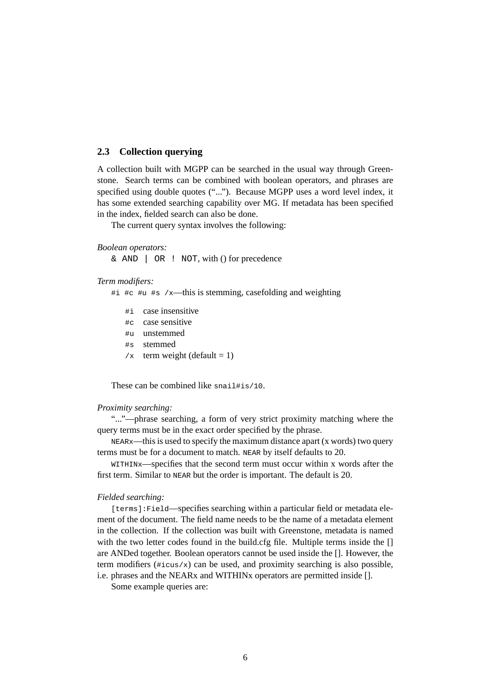#### **2.3 Collection querying**

A collection built with MGPP can be searched in the usual way through Greenstone. Search terms can be combined with boolean operators, and phrases are specified using double quotes ("..."). Because MGPP uses a word level index, it has some extended searching capability over MG. If metadata has been specified in the index, fielded search can also be done.

The current query syntax involves the following:

#### *Boolean operators:*

 $\&$  AND  $\parallel$  OR  $\parallel$  NOT, with () for precedence

#### *Term modifiers:*

- #i #c #u #s /x—this is stemming, casefolding and weighting
	- #i case insensitive
	- #c case sensitive
	- #u unstemmed
	- #s stemmed
	- $/x$  term weight (default = 1)

These can be combined like snail#is/10.

#### *Proximity searching:*

"..."—phrase searching, a form of very strict proximity matching where the query terms must be in the exact order specified by the phrase.

 $NEARx$ —this is used to specify the maximum distance apart (x words) two query terms must be for a document to match. NEAR by itself defaults to 20.

WITHINx—specifies that the second term must occur within x words after the first term. Similar to NEAR but the order is important. The default is 20.

#### *Fielded searching:*

[terms]: Field—specifies searching within a particular field or metadata element of the document. The field name needs to be the name of a metadata element in the collection. If the collection was built with Greenstone, metadata is named with the two letter codes found in the build.cfg file. Multiple terms inside the [] are ANDed together. Boolean operators cannot be used inside the []. However, the term modifiers  $(\#i \cos x)$  can be used, and proximity searching is also possible, i.e. phrases and the NEARx and WITHINx operators are permitted inside [].

Some example queries are: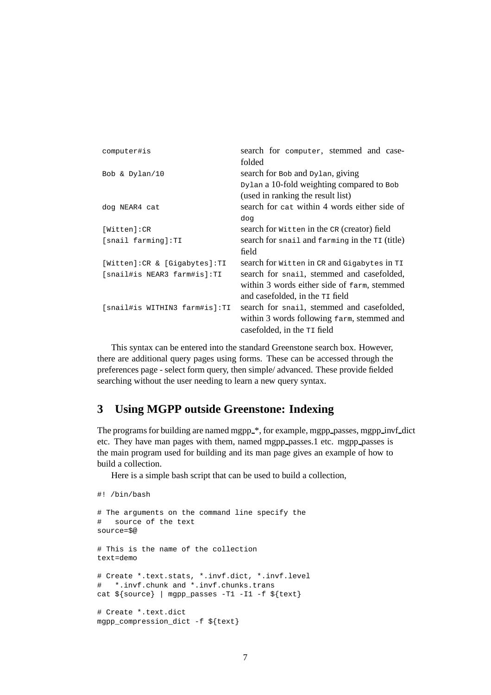| computer#is                    | search for computer, stemmed and case-         |
|--------------------------------|------------------------------------------------|
|                                | folded                                         |
| Bob & Dylan/10                 | search for Bob and Dylan, giving               |
|                                | Dylan a 10-fold weighting compared to Bob      |
|                                | (used in ranking the result list)              |
| dog NEAR4 cat                  | search for cat within 4 words either side of   |
|                                | dog                                            |
| [Witten]:CR                    | search for witten in the CR (creator) field    |
| [snail farming]:TI             | search for snail and farming in the TI (title) |
|                                | field                                          |
| [Witten]: CR & [Gigabytes]: TI | search for witten in CR and Gigabytes in TI    |
| [snail#is NEAR3 farm#is]:TI    | search for snail, stemmed and casefolded,      |
|                                | within 3 words either side of farm, stemmed    |
|                                | and casefolded, in the $T1$ field              |
| [snail#is WITHIN3 farm#is]:TI  | search for snail, stemmed and casefolded,      |
|                                | within 3 words following farm, stemmed and     |
|                                | casefolded, in the $T1$ field                  |

This syntax can be entered into the standard Greenstone search box. However, there are additional query pages using forms. These can be accessed through the preferences page - select form query, then simple/ advanced. These provide fielded searching without the user needing to learn a new query syntax.

# **3 Using MGPP outside Greenstone: Indexing**

The programs for building are named mgpp\_\*, for example, mgpp\_passes, mgpp\_invf\_dict etc. They have man pages with them, named mgpp passes.1 etc. mgpp passes is the main program used for building and its man page gives an example of how to build a collection.

Here is a simple bash script that can be used to build a collection,

```
# The arguments on the command line specify the
# source of the text
source=$@
# This is the name of the collection
text=demo
# Create *.text.stats, *.invf.dict, *.invf.level
# *.invf.chunk and *.invf.chunks.trans
cat ${source} | mgpp_passes -T1 -I1 -f ${text}
# Create *.text.dict
mgpp_compression_dict -f ${text}
```
#! /bin/bash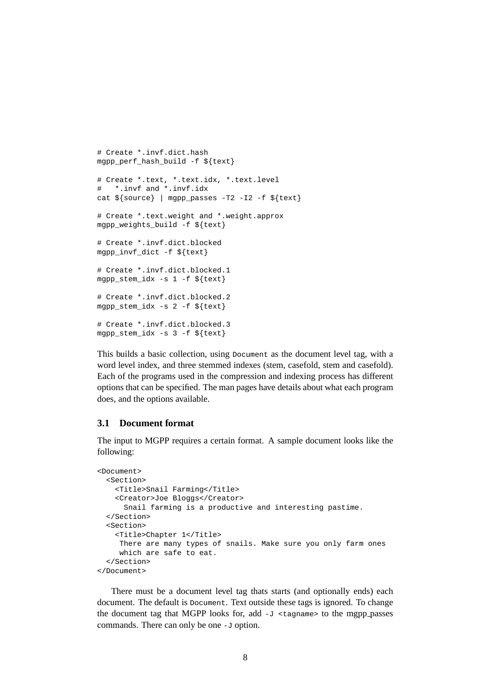```
# Create *.invf.dict.hash
mgpp_perf_hash_build -f ${text}
# Create *.text, *.text.idx, *.text.level
# *.invf and *.invf.idx
cat ${source} | mgpp_passes -T2 -I2 -f ${text}
# Create *.text.weight and *.weight.approx
mgpp_weights_build -f ${text}
# Create *.invf.dict.blocked
mgpp_invf_dict -f ${text}
# Create *.invf.dict.blocked.1
mgpp_stem_idx -s 1 -f ${text}
# Create *.invf.dict.blocked.2
mgpp_stem_idx -s 2 -f ${text}
# Create *.invf.dict.blocked.3
mgpp_stem_idx -s 3 -f ${text}
```
This builds a basic collection, using Document as the document level tag, with a word level index, and three stemmed indexes (stem, casefold, stem and casefold). Each of the programs used in the compression and indexing process has different options that can be specified. The man pages have details about what each program does, and the options available.

#### **3.1 Document format**

The input to MGPP requires a certain format. A sample document looks like the following:

```
<Document>
  <Section>
   <Title>Snail Farming</Title>
   <Creator>Joe Bloggs</Creator>
     Snail farming is a productive and interesting pastime.
  </Section>
  <Section>
    <Title>Chapter 1</Title>
    There are many types of snails. Make sure you only farm ones
    which are safe to eat.
  </Section>
</Document>
```
There must be a document level tag thats starts (and optionally ends) each document. The default is Document. Text outside these tags is ignored. To change the document tag that MGPP looks for, add  $-J \leq t$  agrees to the mgpp passes commands. There can only be one -J option.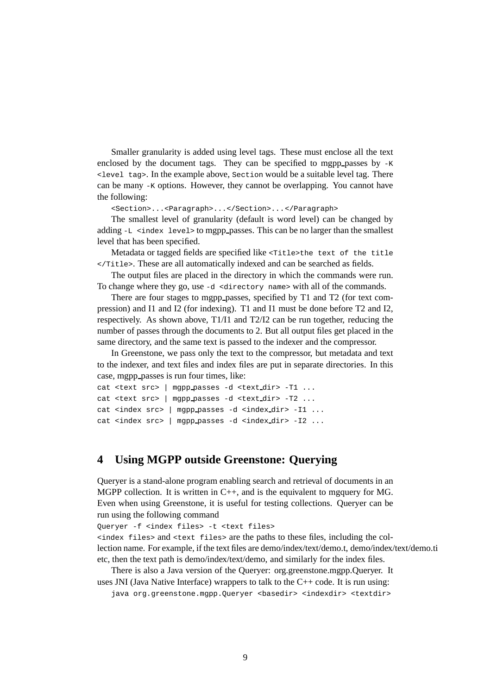Smaller granularity is added using level tags. These must enclose all the text enclosed by the document tags. They can be specified to mgpp passes by  $-K$ <level tag>. In the example above, Section would be a suitable level tag. There can be many -K options. However, they cannot be overlapping. You cannot have the following:

<Section>...<Paragraph>...</Section>...</Paragraph>

The smallest level of granularity (default is word level) can be changed by adding  $-L \leq$ index level > to mgpp passes. This can be no larger than the smallest level that has been specified.

Metadata or tagged fields are specified like <Title>the text of the title </Title>. These are all automatically indexed and can be searched as fields.

The output files are placed in the directory in which the commands were run. To change where they go, use -d <directory name> with all of the commands.

There are four stages to mgpp passes, specified by T1 and T2 (for text compression) and I1 and I2 (for indexing). T1 and I1 must be done before T2 and I2, respectively. As shown above, T1/I1 and T2/I2 can be run together, reducing the number of passes through the documents to 2. But all output files get placed in the same directory, and the same text is passed to the indexer and the compressor.

In Greenstone, we pass only the text to the compressor, but metadata and text to the indexer, and text files and index files are put in separate directories. In this case, mgpp\_passes is run four times, like:

```
cat <text src> | mgpp passes -d <text dir> -T1 ...
cat <text src> | mgpp passes -d <text dir> -T2 ...
cat <index src> | mgpp_passes -d <index_dir> -I1 ...
cat <index src> | mgpp passes -d <index dir> -I2 ...
```
# **4 Using MGPP outside Greenstone: Querying**

Queryer is a stand-alone program enabling search and retrieval of documents in an MGPP collection. It is written in C++, and is the equivalent to mgquery for MG. Even when using Greenstone, it is useful for testing collections. Queryer can be run using the following command

Queryer -f <index files> -t <text files>

<index files> and <text files> are the paths to these files, including the collection name. For example, if the text files are demo/index/text/demo.t, demo/index/text/demo.ti etc, then the text path is demo/index/text/demo, and similarly for the index files.

There is also a Java version of the Queryer: org.greenstone.mgpp.Queryer. It uses JNI (Java Native Interface) wrappers to talk to the  $C++$  code. It is run using:

java org.greenstone.mgpp.Queryer <br/> <br/>kasedir> <indexdir> <textdir>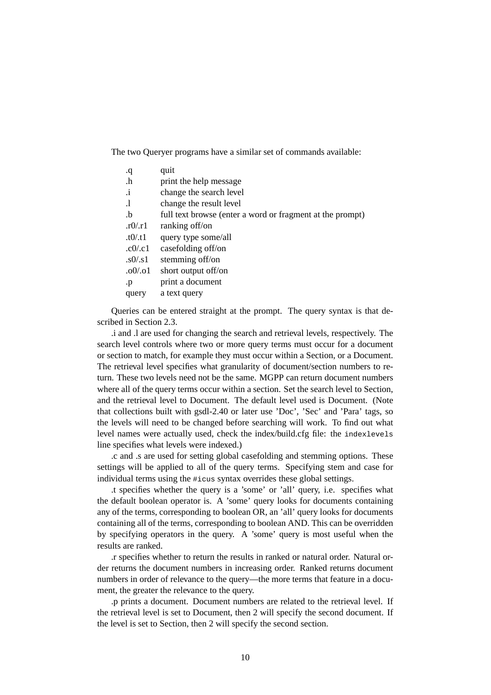The two Queryer programs have a similar set of commands available:

| q.        | quit                                                      |
|-----------|-----------------------------------------------------------|
| $\cdot$ h | print the help message                                    |
| $\cdot$ i | change the search level                                   |
| $\cdot$   | change the result level                                   |
| $\cdot$ b | full text browse (enter a word or fragment at the prompt) |
| .r0/r1    | ranking off/on                                            |
| .10/0.11  | query type some/all                                       |
| c0/c1     | casefolding off/on                                        |
| s0/s1     | stemming off/on                                           |
| $.00$ .01 | short output off/on                                       |
| .p        | print a document                                          |
| query     | a text query                                              |

Queries can be entered straight at the prompt. The query syntax is that described in Section 2.3.

.i and .l are used for changing the search and retrieval levels, respectively. The search level controls where two or more query terms must occur for a document or section to match, for example they must occur within a Section, or a Document. The retrieval level specifies what granularity of document/section numbers to return. These two levels need not be the same. MGPP can return document numbers where all of the query terms occur within a section. Set the search level to Section, and the retrieval level to Document. The default level used is Document. (Note that collections built with gsdl-2.40 or later use 'Doc', 'Sec' and 'Para' tags, so the levels will need to be changed before searching will work. To find out what level names were actually used, check the index/build.cfg file: the indexlevels line specifies what levels were indexed.)

.c and .s are used for setting global casefolding and stemming options. These settings will be applied to all of the query terms. Specifying stem and case for individual terms using the #icus syntax overrides these global settings.

.t specifies whether the query is a 'some' or 'all' query, i.e. specifies what the default boolean operator is. A 'some' query looks for documents containing any of the terms, corresponding to boolean OR, an 'all' query looks for documents containing all of the terms, corresponding to boolean AND. This can be overridden by specifying operators in the query. A 'some' query is most useful when the results are ranked.

.r specifies whether to return the results in ranked or natural order. Natural order returns the document numbers in increasing order. Ranked returns document numbers in order of relevance to the query—the more terms that feature in a document, the greater the relevance to the query.

.p prints a document. Document numbers are related to the retrieval level. If the retrieval level is set to Document, then 2 will specify the second document. If the level is set to Section, then 2 will specify the second section.